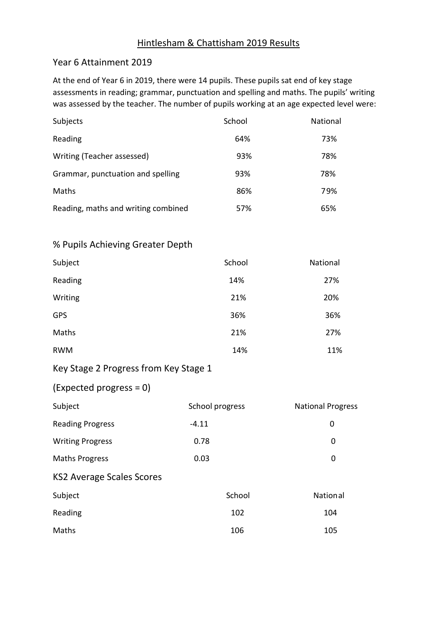## Hintlesham & Chattisham 2019 Results

## Year 6 Attainment 2019

At the end of Year 6 in 2019, there were 14 pupils. These pupils sat end of key stage assessments in reading; grammar, punctuation and spelling and maths. The pupils' writing was assessed by the teacher. The number of pupils working at an age expected level were:

| Subjects                            | School | National |
|-------------------------------------|--------|----------|
| Reading                             | 64%    | 73%      |
| Writing (Teacher assessed)          | 93%    | 78%      |
| Grammar, punctuation and spelling   | 93%    | 78%      |
| Maths                               | 86%    | 79%      |
| Reading, maths and writing combined | 57%    | 65%      |

## % Pupils Achieving Greater Depth

| Subject    | School | National |
|------------|--------|----------|
| Reading    | 14%    | 27%      |
| Writing    | 21%    | 20%      |
| <b>GPS</b> | 36%    | 36%      |
| Maths      | 21%    | 27%      |
| <b>RWM</b> | 14%    | 11%      |

# Key Stage 2 Progress from Key Stage 1

## (Expected progress = 0)

| Subject                          | School progress | <b>National Progress</b> |
|----------------------------------|-----------------|--------------------------|
| <b>Reading Progress</b>          | $-4.11$         | 0                        |
| <b>Writing Progress</b>          | 0.78            | 0                        |
| <b>Maths Progress</b>            | 0.03            | 0                        |
| <b>KS2 Average Scales Scores</b> |                 |                          |
| Subject                          | School          | National                 |
| Reading                          | 102             | 104                      |
| Maths                            | 106             | 105                      |